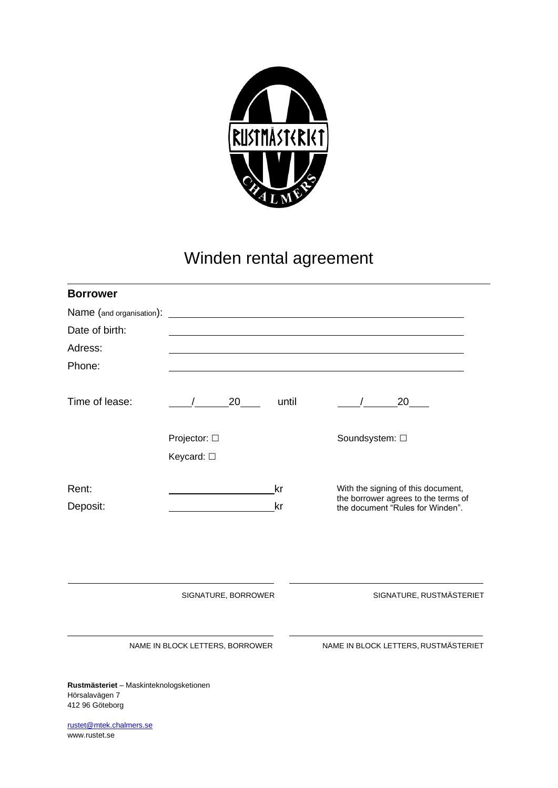

## Winden rental agreement

| <b>Borrower</b>                                                              |                                 |          |                                                                                                               |
|------------------------------------------------------------------------------|---------------------------------|----------|---------------------------------------------------------------------------------------------------------------|
| Name (and organisation):                                                     |                                 |          |                                                                                                               |
| Date of birth:                                                               |                                 |          |                                                                                                               |
| Adress:                                                                      |                                 |          |                                                                                                               |
| Phone:                                                                       |                                 |          |                                                                                                               |
| Time of lease:                                                               | 20                              | until    | 20                                                                                                            |
|                                                                              | Projector: □<br>Keycard: □      |          | Soundsystem: $\square$                                                                                        |
| Rent:<br>Deposit:                                                            |                                 | kr<br>kr | With the signing of this document,<br>the borrower agrees to the terms of<br>the document "Rules for Winden". |
|                                                                              | SIGNATURE, BORROWER             |          | SIGNATURE, RUSTMÄSTERIET                                                                                      |
|                                                                              | NAME IN BLOCK LETTERS, BORROWER |          | NAME IN BLOCK LETTERS, RUSTMÄSTERIET                                                                          |
| Rustmästeriet - Maskinteknologsketionen<br>Hörsalavägen 7<br>412 96 Göteborg |                                 |          |                                                                                                               |

[rustet@mtek.chalmers.se](mailto:rustet@mtek.chalmers.se) [www.rustet.se](http://www.rustet.se/)